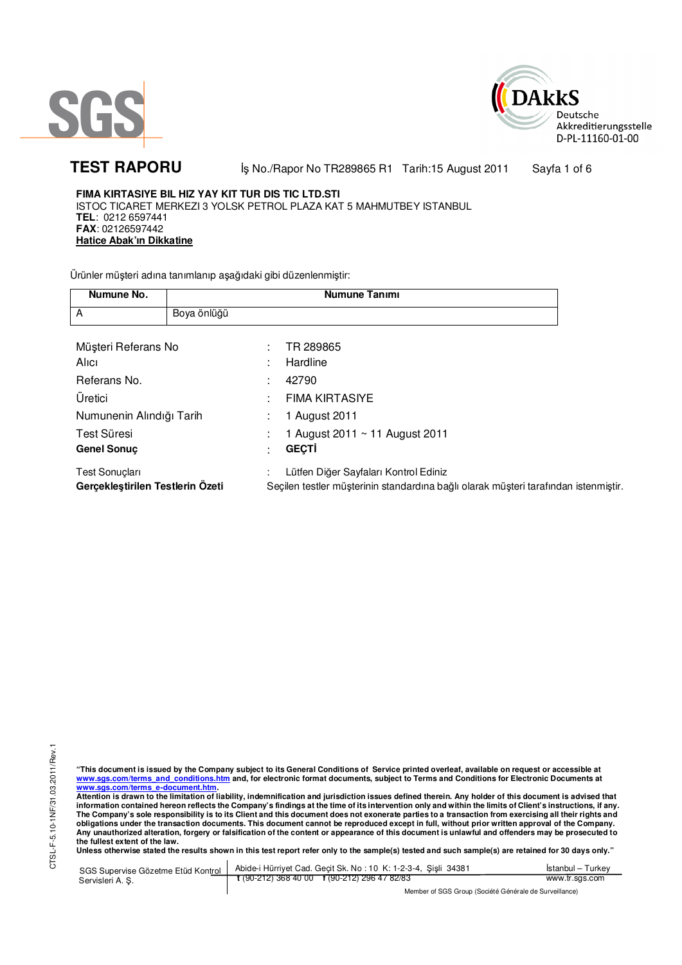



TEST RAPORU **By No./Rapor No TR289865 R1 Tarih:15 August 2011** Sayfa 1 of 6

**FIMA KIRTASIYE BIL HIZ YAY KIT TUR DIS TIC LTD.STI**  ISTOC TICARET MERKEZI 3 YOLSK PETROL PLAZA KAT 5 MAHMUTBEY ISTANBUL **TEL**: 0212 6597441 **FAX**: 02126597442 **Hatice Abak'ın Dikkatine**

Ürünler müşteri adına tanımlanıp aşağıdaki gibi düzenlenmiştir:

| Numune No.                                                |             | <b>Numune Tanımı</b>                                                                                                         |  |
|-----------------------------------------------------------|-------------|------------------------------------------------------------------------------------------------------------------------------|--|
| A                                                         | Boya önlüğü |                                                                                                                              |  |
|                                                           |             |                                                                                                                              |  |
| Müşteri Referans No                                       |             | TR 289865                                                                                                                    |  |
| Alici                                                     |             | Hardline                                                                                                                     |  |
| Referans No.                                              |             | 42790                                                                                                                        |  |
| Üretici                                                   |             | <b>FIMA KIRTASIYE</b>                                                                                                        |  |
| Numunenin Alındığı Tarih                                  |             | 1 August 2011                                                                                                                |  |
| Test Süresi                                               |             | 1 August 2011 $\sim$ 11 August 2011                                                                                          |  |
| <b>Genel Sonuc</b>                                        |             | <b>GECTI</b>                                                                                                                 |  |
| <b>Test Sonuçları</b><br>Gerçekleştirilen Testlerin Ozeti |             | Lütfen Diğer Sayfaları Kontrol Ediniz<br>Seçilen testler müşterinin standardına bağlı olarak müşteri tarafından istenmiştir. |  |

"This document is issued by the Company subject to its General Conditions of Service printed overleaf, available on request or accessible at<br>www.sgs.com/terms\_and\_conditions.htm\_and, for electronic format documents, subjec <mark>www.sgs.com/terms\_e-document.htm.</mark><br>Attention is drawn to the limitation of liability, indemnification and jurisdiction issues defined therein. Any holder of this document is advised that

information contained hereon reflects the Company's findings at the time of its intervention only and within the limits of Client's instructions, if any.<br>The Company's sole responsibility is to its Client and this document **obligations under the transaction documents. This document cannot be reproduced except in full, without prior written approval of the Company. Any unauthorized alteration, forgery or falsification of the content or appearance of this document is unlawful and offenders may be prosecuted to the fullest extent of the law.** 

**Unless otherwise stated the results shown in this test report refer only to the sample(s) tested and such sample(s) are retained for 30 days only."** 

SGS Supervise Gözetme Etüd Kontrol Servisleri A. Ş. Abide-i Hürriyet Cad. Geçit Sk. No : 10 K: 1-2-3-4, Şişli 34381 **t** (90-212) 368 40 00 **f** (90-212) 296 47 82/83 İstanbul – Turkey www.tr.sgs.com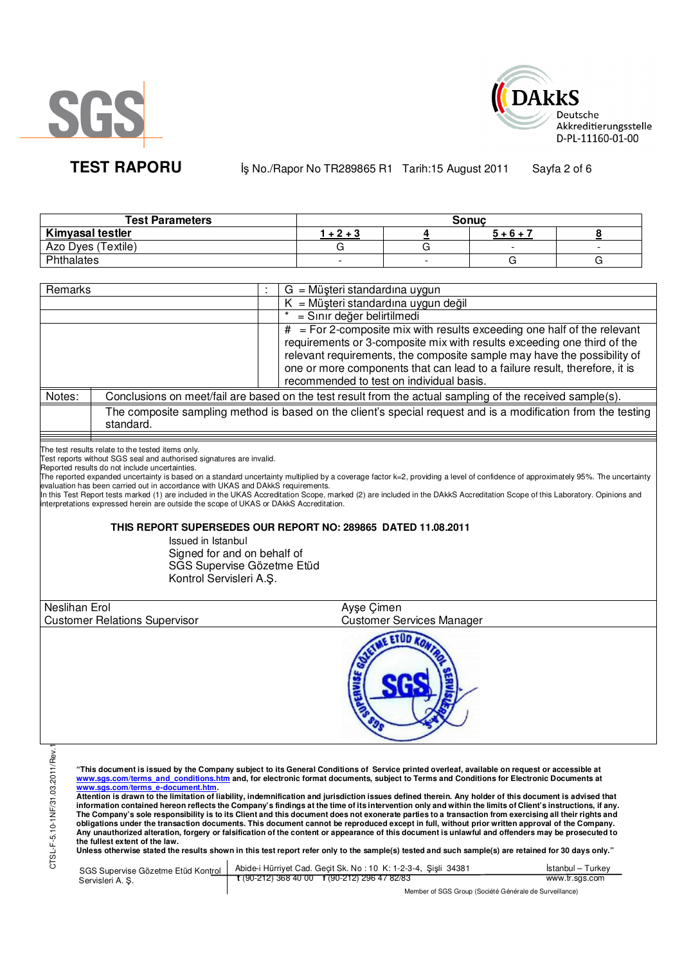



**TEST RAPORU By No./Rapor No TR289865 R1 Tarih:15 August 2011** Sayfa 2 of 6

| <b>Test Parameters</b>  | <b>Sonuc</b> |  |           |  |  |
|-------------------------|--------------|--|-----------|--|--|
| <b>Kimyasal testler</b> | $+2+3$       |  | $5 + 6 +$ |  |  |
| Azo Dyes (Textile)      |              |  |           |  |  |
| Phthalates              |              |  |           |  |  |

| Remarks                                                                    |                                                                                                                               |  | $G = M\ddot{\mu}$ şteri standardına uygun                                                                                                                                                                                                                                                                                                                                                                                                                                                                                                                                                                                                                                                                                                                                                                                                                                                                                                                                                                                                                                                                                                                                                                                                                                                                                                                                                        |  |  |  |
|----------------------------------------------------------------------------|-------------------------------------------------------------------------------------------------------------------------------|--|--------------------------------------------------------------------------------------------------------------------------------------------------------------------------------------------------------------------------------------------------------------------------------------------------------------------------------------------------------------------------------------------------------------------------------------------------------------------------------------------------------------------------------------------------------------------------------------------------------------------------------------------------------------------------------------------------------------------------------------------------------------------------------------------------------------------------------------------------------------------------------------------------------------------------------------------------------------------------------------------------------------------------------------------------------------------------------------------------------------------------------------------------------------------------------------------------------------------------------------------------------------------------------------------------------------------------------------------------------------------------------------------------|--|--|--|
|                                                                            |                                                                                                                               |  | $K = M\ddot{\mu}$ şteri standardına uygun değil                                                                                                                                                                                                                                                                                                                                                                                                                                                                                                                                                                                                                                                                                                                                                                                                                                                                                                                                                                                                                                                                                                                                                                                                                                                                                                                                                  |  |  |  |
|                                                                            |                                                                                                                               |  | = Sınır değer belirtilmedi                                                                                                                                                                                                                                                                                                                                                                                                                                                                                                                                                                                                                                                                                                                                                                                                                                                                                                                                                                                                                                                                                                                                                                                                                                                                                                                                                                       |  |  |  |
| $#$ = For 2-composite mix with results exceeding one half of the relevant  |                                                                                                                               |  |                                                                                                                                                                                                                                                                                                                                                                                                                                                                                                                                                                                                                                                                                                                                                                                                                                                                                                                                                                                                                                                                                                                                                                                                                                                                                                                                                                                                  |  |  |  |
|                                                                            |                                                                                                                               |  | requirements or 3-composite mix with results exceeding one third of the                                                                                                                                                                                                                                                                                                                                                                                                                                                                                                                                                                                                                                                                                                                                                                                                                                                                                                                                                                                                                                                                                                                                                                                                                                                                                                                          |  |  |  |
|                                                                            |                                                                                                                               |  | relevant requirements, the composite sample may have the possibility of                                                                                                                                                                                                                                                                                                                                                                                                                                                                                                                                                                                                                                                                                                                                                                                                                                                                                                                                                                                                                                                                                                                                                                                                                                                                                                                          |  |  |  |
| one or more components that can lead to a failure result, therefore, it is |                                                                                                                               |  |                                                                                                                                                                                                                                                                                                                                                                                                                                                                                                                                                                                                                                                                                                                                                                                                                                                                                                                                                                                                                                                                                                                                                                                                                                                                                                                                                                                                  |  |  |  |
|                                                                            |                                                                                                                               |  | recommended to test on individual basis.                                                                                                                                                                                                                                                                                                                                                                                                                                                                                                                                                                                                                                                                                                                                                                                                                                                                                                                                                                                                                                                                                                                                                                                                                                                                                                                                                         |  |  |  |
| Notes:                                                                     |                                                                                                                               |  | Conclusions on meet/fail are based on the test result from the actual sampling of the received sample(s).                                                                                                                                                                                                                                                                                                                                                                                                                                                                                                                                                                                                                                                                                                                                                                                                                                                                                                                                                                                                                                                                                                                                                                                                                                                                                        |  |  |  |
|                                                                            | standard.                                                                                                                     |  | The composite sampling method is based on the client's special request and is a modification from the testing                                                                                                                                                                                                                                                                                                                                                                                                                                                                                                                                                                                                                                                                                                                                                                                                                                                                                                                                                                                                                                                                                                                                                                                                                                                                                    |  |  |  |
|                                                                            |                                                                                                                               |  |                                                                                                                                                                                                                                                                                                                                                                                                                                                                                                                                                                                                                                                                                                                                                                                                                                                                                                                                                                                                                                                                                                                                                                                                                                                                                                                                                                                                  |  |  |  |
|                                                                            | The test results relate to the tested items only.<br>Test reports without SGS seal and authorised signatures are invalid.     |  |                                                                                                                                                                                                                                                                                                                                                                                                                                                                                                                                                                                                                                                                                                                                                                                                                                                                                                                                                                                                                                                                                                                                                                                                                                                                                                                                                                                                  |  |  |  |
|                                                                            | Reported results do not include uncertainties.                                                                                |  |                                                                                                                                                                                                                                                                                                                                                                                                                                                                                                                                                                                                                                                                                                                                                                                                                                                                                                                                                                                                                                                                                                                                                                                                                                                                                                                                                                                                  |  |  |  |
|                                                                            | evaluation has been carried out in accordance with UKAS and DAkkS requirements.                                               |  | The reported expanded uncertainty is based on a standard uncertainty multiplied by a coverage factor k=2, providing a level of confidence of approximately 95%. The uncertainty                                                                                                                                                                                                                                                                                                                                                                                                                                                                                                                                                                                                                                                                                                                                                                                                                                                                                                                                                                                                                                                                                                                                                                                                                  |  |  |  |
|                                                                            | interpretations expressed herein are outside the scope of UKAS or DAkkS Accreditation.                                        |  | In this Test Report tests marked (1) are included in the UKAS Accreditation Scope, marked (2) are included in the DAkkS Accreditation Scope of this Laboratory. Opinions and                                                                                                                                                                                                                                                                                                                                                                                                                                                                                                                                                                                                                                                                                                                                                                                                                                                                                                                                                                                                                                                                                                                                                                                                                     |  |  |  |
|                                                                            |                                                                                                                               |  | THIS REPORT SUPERSEDES OUR REPORT NO: 289865 DATED 11.08.2011                                                                                                                                                                                                                                                                                                                                                                                                                                                                                                                                                                                                                                                                                                                                                                                                                                                                                                                                                                                                                                                                                                                                                                                                                                                                                                                                    |  |  |  |
|                                                                            | Issued in Istanbul                                                                                                            |  |                                                                                                                                                                                                                                                                                                                                                                                                                                                                                                                                                                                                                                                                                                                                                                                                                                                                                                                                                                                                                                                                                                                                                                                                                                                                                                                                                                                                  |  |  |  |
|                                                                            | Signed for and on behalf of                                                                                                   |  |                                                                                                                                                                                                                                                                                                                                                                                                                                                                                                                                                                                                                                                                                                                                                                                                                                                                                                                                                                                                                                                                                                                                                                                                                                                                                                                                                                                                  |  |  |  |
|                                                                            | SGS Supervise Gözetme Etüd                                                                                                    |  |                                                                                                                                                                                                                                                                                                                                                                                                                                                                                                                                                                                                                                                                                                                                                                                                                                                                                                                                                                                                                                                                                                                                                                                                                                                                                                                                                                                                  |  |  |  |
|                                                                            | Kontrol Servisleri A.Ş.                                                                                                       |  |                                                                                                                                                                                                                                                                                                                                                                                                                                                                                                                                                                                                                                                                                                                                                                                                                                                                                                                                                                                                                                                                                                                                                                                                                                                                                                                                                                                                  |  |  |  |
|                                                                            |                                                                                                                               |  |                                                                                                                                                                                                                                                                                                                                                                                                                                                                                                                                                                                                                                                                                                                                                                                                                                                                                                                                                                                                                                                                                                                                                                                                                                                                                                                                                                                                  |  |  |  |
| <b>Neslihan Erol</b>                                                       |                                                                                                                               |  | Ayşe Çimen                                                                                                                                                                                                                                                                                                                                                                                                                                                                                                                                                                                                                                                                                                                                                                                                                                                                                                                                                                                                                                                                                                                                                                                                                                                                                                                                                                                       |  |  |  |
|                                                                            | <b>Customer Relations Supervisor</b>                                                                                          |  | <b>Customer Services Manager</b>                                                                                                                                                                                                                                                                                                                                                                                                                                                                                                                                                                                                                                                                                                                                                                                                                                                                                                                                                                                                                                                                                                                                                                                                                                                                                                                                                                 |  |  |  |
|                                                                            |                                                                                                                               |  |                                                                                                                                                                                                                                                                                                                                                                                                                                                                                                                                                                                                                                                                                                                                                                                                                                                                                                                                                                                                                                                                                                                                                                                                                                                                                                                                                                                                  |  |  |  |
| 03.2011/Rev.1<br>CTSL-F-5.10-1NF/31                                        | www.sgs.com/terms e-document.htm.<br>the fullest extent of the law.<br>SGS Supervise Gözetme Etüd Kontrol<br>Servisleri A. Ş. |  | "This document is issued by the Company subject to its General Conditions of Service printed overleaf, available on request or accessible at<br>www.sgs.com/terms and conditions.htm and, for electronic format documents, subject to Terms and Conditions for Electronic Documents at<br>Attention is drawn to the limitation of liability, indemnification and jurisdiction issues defined therein. Any holder of this document is advised that<br>information contained hereon reflects the Company's findings at the time of its intervention only and within the limits of Client's instructions, if any.<br>The Company's sole responsibility is to its Client and this document does not exonerate parties to a transaction from exercising all their rights and<br>obligations under the transaction documents. This document cannot be reproduced except in full, without prior written approval of the Company.<br>Any unauthorized alteration, forgery or falsification of the content or appearance of this document is unlawful and offenders may be prosecuted to<br>Unless otherwise stated the results shown in this test report refer only to the sample(s) tested and such sample(s) are retained for 30 days only."<br>Abide-i Hürriyet Cad. Gecit Sk. No: 10 K: 1-2-3-4, Sisli 34381<br>Istanbul – Turkey<br>$t(90-212)$ 368 40 00 f (90-212) 296 47 82/83<br>www.tr.sgs.com |  |  |  |
|                                                                            |                                                                                                                               |  | Member of SGS Group (Société Générale de Surveillance)                                                                                                                                                                                                                                                                                                                                                                                                                                                                                                                                                                                                                                                                                                                                                                                                                                                                                                                                                                                                                                                                                                                                                                                                                                                                                                                                           |  |  |  |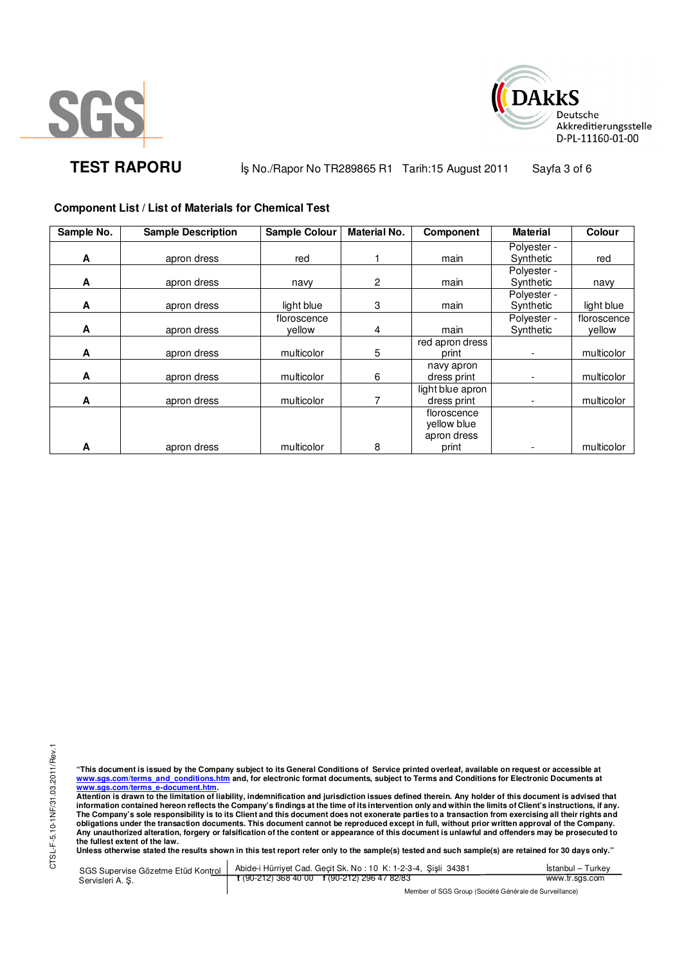



**TEST RAPORU** iş No./Rapor No TR289865 R1 Tarih:15 August 2011 Sayfa 3 of 6

**Component List / List of Materials for Chemical Test** 

| Sample No. | <b>Sample Description</b> | <b>Sample Colour</b>  | <b>Material No.</b> | Component                                 | <b>Material</b>          | Colour                |
|------------|---------------------------|-----------------------|---------------------|-------------------------------------------|--------------------------|-----------------------|
| A          | apron dress               | red                   |                     | main                                      | Polyester -<br>Synthetic | red                   |
| A          | apron dress               | navy                  | $\mathbf{2}$        | main                                      | Polyester -<br>Synthetic | navy                  |
| A          | apron dress               | light blue            | 3                   | main                                      | Polyester -<br>Synthetic | light blue            |
| A          | apron dress               | floroscence<br>vellow | 4                   | main                                      | Polyester -<br>Synthetic | floroscence<br>vellow |
| A          | apron dress               | multicolor            | 5                   | red apron dress<br>print                  |                          | multicolor            |
| A          | apron dress               | multicolor            | 6                   | navy apron<br>dress print                 |                          | multicolor            |
| A          | apron dress               | multicolor            |                     | light blue apron<br>dress print           |                          | multicolor            |
|            |                           |                       |                     | floroscence<br>yellow blue<br>apron dress |                          |                       |
| A          | apron dress               | multicolor            | 8                   | print                                     |                          | multicolor            |

CTSL-F-5.10-1NF/31.03.2011/Rev.1 CTSL-F-5.10-1NF/31.03.2011/Rev.1

"This document is issued by the Company subject to its General Conditions of Service printed overleaf, available on request or accessible at<br>www.sgs.com/terms\_and\_conditions.htm\_and, for electronic format documents, subjec <mark>www.sgs.com/terms\_e-document.htm.</mark><br>Attention is drawn to the limitation of liability, indemnification and jurisdiction issues defined therein. Any holder of this document is advised that

information contained hereon reflects the Company's findings at the time of its intervention only and within the limits of Client's instructions, if any.<br>The Company's sole responsibility is to its Client and this document **obligations under the transaction documents. This document cannot be reproduced except in full, without prior written approval of the Company. Any unauthorized alteration, forgery or falsification of the content or appearance of this document is unlawful and offenders may be prosecuted to the fullest extent of the law.** 

**Unless otherwise stated the results shown in this test report refer only to the sample(s) tested and such sample(s) are retained for 30 days only."** 

SGS Supervise Gözetme Etüd Kontrol Servisleri A. Ş. Abide-i Hürriyet Cad. Geçit Sk. No : 10 K: 1-2-3-4, Şişli 34381 **t** (90-212) 368 40 00 **f** (90-212) 296 47 82/83 İstanbul – Turkey www.tr.sgs.com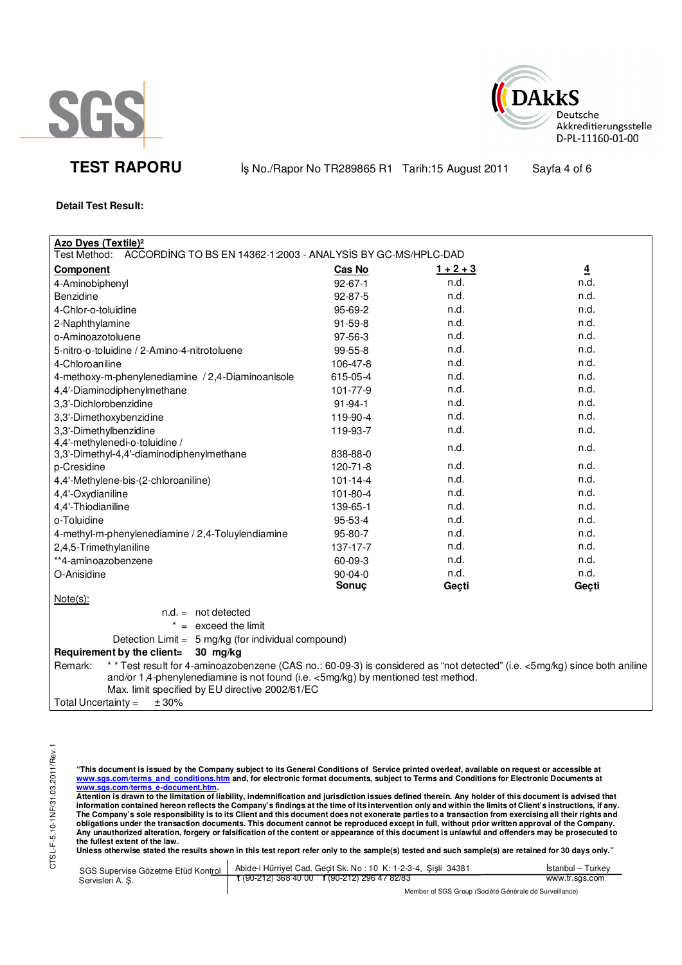



**TEST RAPORU** iş No./Rapor No TR289865 R1 Tarih:15 August 2011 Sayfa 4 of 6

**Detail Test Result:** 

| <b>Azo Dyes (Textile)<sup>2</sup></b><br>Test Method:<br>ACCORDING TO BS EN 14362-1:2003 - ANALYSIS BY GC-MS/HPLC-DAD                                                                                                                                                        |                |             |                |  |
|------------------------------------------------------------------------------------------------------------------------------------------------------------------------------------------------------------------------------------------------------------------------------|----------------|-------------|----------------|--|
| <b>Component</b>                                                                                                                                                                                                                                                             | Cas No         | $1 + 2 + 3$ | $\overline{4}$ |  |
| 4-Aminobiphenyl                                                                                                                                                                                                                                                              | $92 - 67 - 1$  | n.d.        | n.d.           |  |
| Benzidine                                                                                                                                                                                                                                                                    | 92-87-5        | n.d.        | n.d.           |  |
| 4-Chlor-o-toluidine                                                                                                                                                                                                                                                          | 95-69-2        | n.d.        | n.d.           |  |
|                                                                                                                                                                                                                                                                              | $91 - 59 - 8$  | n.d.        | n.d.           |  |
| 2-Naphthylamine<br>o-Aminoazotoluene                                                                                                                                                                                                                                         | 97-56-3        | n.d.        | n.d.           |  |
| 5-nitro-o-toluidine / 2-Amino-4-nitrotoluene                                                                                                                                                                                                                                 | 99-55-8        | n.d.        | n.d.           |  |
|                                                                                                                                                                                                                                                                              |                | n.d.        | n.d.           |  |
| 4-Chloroaniline                                                                                                                                                                                                                                                              | 106-47-8       |             | n.d.           |  |
| 4-methoxy-m-phenylenediamine / 2,4-Diaminoanisole                                                                                                                                                                                                                            | 615-05-4       | n.d.        |                |  |
| 4,4'-Diaminodiphenylmethane                                                                                                                                                                                                                                                  | 101-77-9       | n.d.        | n.d.           |  |
| 3,3'-Dichlorobenzidine                                                                                                                                                                                                                                                       | $91 - 94 - 1$  | n.d.        | n.d.           |  |
| 3,3'-Dimethoxybenzidine                                                                                                                                                                                                                                                      | 119-90-4       | n.d.        | n.d.           |  |
| 3,3'-Dimethylbenzidine                                                                                                                                                                                                                                                       | 119-93-7       | n.d.        | n.d.           |  |
| 4,4'-methylenedi-o-toluidine /<br>3,3'-Dimethyl-4,4'-diaminodiphenylmethane                                                                                                                                                                                                  | 838-88-0       | n.d.        | n.d.           |  |
| p-Cresidine                                                                                                                                                                                                                                                                  | 120-71-8       | n.d.        | n.d.           |  |
| 4,4'-Methylene-bis-(2-chloroaniline)                                                                                                                                                                                                                                         | $101 - 14 - 4$ | n.d.        | n.d.           |  |
| 4,4'-Oxydianiline                                                                                                                                                                                                                                                            | 101-80-4       | n.d.        | n.d.           |  |
| 4,4'-Thiodianiline                                                                                                                                                                                                                                                           | 139-65-1       | n.d.        | n.d.           |  |
| o-Toluidine                                                                                                                                                                                                                                                                  | 95-53-4        | n.d.        | n.d.           |  |
| 4-methyl-m-phenylenediamine / 2,4-Toluylendiamine                                                                                                                                                                                                                            | 95-80-7        | n.d.        | n.d.           |  |
| 2,4,5-Trimethylaniline                                                                                                                                                                                                                                                       | 137-17-7       | n.d.        | n.d.           |  |
| **4-aminoazobenzene                                                                                                                                                                                                                                                          | 60-09-3        | n.d.        | n.d.           |  |
| O-Anisidine                                                                                                                                                                                                                                                                  | $90-04-0$      | n.d.        | n.d.           |  |
|                                                                                                                                                                                                                                                                              | Sonuç          | Geçti       | Geçti          |  |
| Note(s):                                                                                                                                                                                                                                                                     |                |             |                |  |
| $n.d. = not detected$                                                                                                                                                                                                                                                        |                |             |                |  |
| $* =$ exceed the limit                                                                                                                                                                                                                                                       |                |             |                |  |
| Detection Limit = 5 mg/kg (for individual compound)                                                                                                                                                                                                                          |                |             |                |  |
| Requirement by the client=<br>$30$ mg/kg                                                                                                                                                                                                                                     |                |             |                |  |
| ** Test result for 4-aminoazobenzene (CAS no.: 60-09-3) is considered as "not detected" (i.e. <5mg/kg) since both aniline<br>Remark:<br>and/or 1,4-phenylenediamine is not found (i.e. <5mg/kg) by mentioned test method.<br>Max. limit specified by EU directive 2002/61/EC |                |             |                |  |
| ± 30%<br>Total Uncertainty $=$                                                                                                                                                                                                                                               |                |             |                |  |

CTSL-F-5.10-1NF/31.03.2011/Rev.1 CTSL-F-5.10-1NF/31.03.2011/Rev.1

"This document is issued by the Company subject to its General Conditions of Service printed overleaf, available on request or accessible at<br>www.sgs.com/terms\_and\_conditions.htm\_and, for electronic format documents, subjec <mark>www.sgs.com/terms\_e-document.htm.</mark><br>Attention is drawn to the limitation of liability, indemnification and jurisdiction issues defined therein. Any holder of this document is advised that

information contained hereon reflects the Company's findings at the time of its intervention only and within the limits of Client's instructions, if any.<br>The Company's sole responsibility is to its Client and this document obligations under the transaction documents. This document cannot be reproduced except in full, without prior written approval of the Company.<br>Any unauthorized alteration, forgery or falsification of the content or appeara

**Unless otherwise stated the results shown in this test report refer only to the sample(s) tested and such sample(s) are retained for 30 days only."** 

|                  | SGS Supervise Gözetme Etüd Kontrol   Abide-i Hürriyet Cad. Geçit Sk. No: 10 K: 1-2-3-4, Şişli 34381 | Istanbul – Turkey |
|------------------|-----------------------------------------------------------------------------------------------------|-------------------|
| Servisleri A. S. | $\frac{1}{2}$ (90-212) 368 40 00 f (90-212) 296 47 82/83                                            | www.tr.sas.com    |
|                  | Mambau of POP Ourine (Panilité O fotballa de Primiellanae)                                          |                   |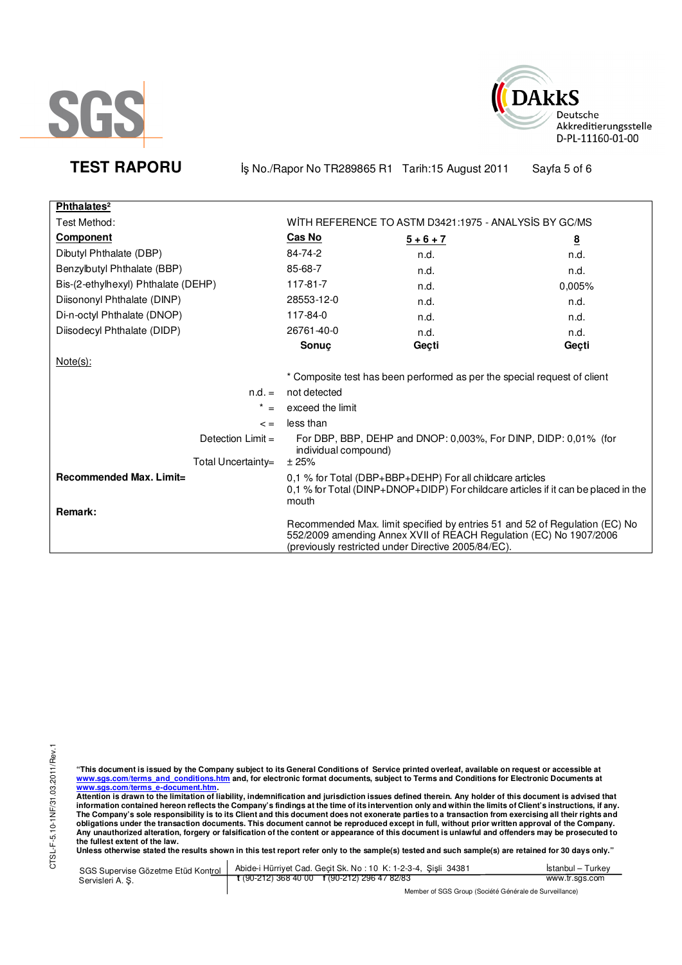



**TEST RAPORU** iş No./Rapor No TR289865 R1 Tarih:15 August 2011 Sayfa 5 of 6

| Phthalates <sup>2</sup>             |                                                                                                                                                                                                          |             |                         |  |
|-------------------------------------|----------------------------------------------------------------------------------------------------------------------------------------------------------------------------------------------------------|-------------|-------------------------|--|
| Test Method:                        | WITH REFERENCE TO ASTM D3421:1975 - ANALYSIS BY GC/MS                                                                                                                                                    |             |                         |  |
| <b>Component</b>                    | <u>Cas No</u>                                                                                                                                                                                            | $5 + 6 + 7$ | $\overline{\mathbf{8}}$ |  |
| Dibutyl Phthalate (DBP)             | 84-74-2                                                                                                                                                                                                  | n.d.        | n.d.                    |  |
| Benzylbutyl Phthalate (BBP)         | 85-68-7                                                                                                                                                                                                  | n.d.        | n.d.                    |  |
| Bis-(2-ethylhexyl) Phthalate (DEHP) | 117-81-7                                                                                                                                                                                                 | n.d.        | 0.005%                  |  |
| Diisononyl Phthalate (DINP)         | 28553-12-0                                                                                                                                                                                               | n.d.        | n.d.                    |  |
| Di-n-octyl Phthalate (DNOP)         | 117-84-0                                                                                                                                                                                                 | n.d.        | n.d.                    |  |
| Diisodecyl Phthalate (DIDP)         | 26761-40-0                                                                                                                                                                                               | n.d.        | n.d.                    |  |
|                                     | Sonuç                                                                                                                                                                                                    | Geçti       | Geçti                   |  |
| $Note(s)$ :                         |                                                                                                                                                                                                          |             |                         |  |
|                                     | * Composite test has been performed as per the special request of client                                                                                                                                 |             |                         |  |
| $n.d. =$                            | not detected                                                                                                                                                                                             |             |                         |  |
| $^\star$<br>$=$                     | exceed the limit                                                                                                                                                                                         |             |                         |  |
| $\leq$ $=$                          | less than                                                                                                                                                                                                |             |                         |  |
| Detection $Limit =$                 | For DBP, BBP, DEHP and DNOP: 0,003%, For DINP, DIDP: 0,01% (for<br>individual compound)                                                                                                                  |             |                         |  |
| Total Uncertainty=                  | ± 25%                                                                                                                                                                                                    |             |                         |  |
| Recommended Max. Limit=<br>Remark:  | 0,1 % for Total (DBP+BBP+DEHP) For all childcare articles<br>0,1 % for Total (DINP+DNOP+DIDP) For childcare articles if it can be placed in the<br>mouth                                                 |             |                         |  |
|                                     | Recommended Max. limit specified by entries 51 and 52 of Regulation (EC) No<br>552/2009 amending Annex XVII of REACH Regulation (EC) No 1907/2006<br>(previously restricted under Directive 2005/84/EC). |             |                         |  |

"This document is issued by the Company subject to its General Conditions of Service printed overleaf, available on request or accessible at<br>www.sgs.com/terms\_and\_conditions.htm\_and, for electronic format documents, subjec

<u>www.sgs.com/terms\_e-document.htm.</u><br>Attention is drawn to the limitation of liability, indemnification and jurisdiction issues defined therein. Any holder of this document is advised that<br>information contained hereon refle obligations under the transaction documents. This document cannot be reproduced except in full, without prior written approval of the Company.<br>Any unauthorized alteration, forgery or falsification of the content or appeara

**Unless otherwise stated the results shown in this test report refer only to the sample(s) tested and such sample(s) are retained for 30 days only."** 

| SGS Supervise Gözetme Etüd Kontrol | Abide-i Hürriyet Cad. Gecit Sk. No: 10 K: 1-2-3-4, Sisli 34381 | Istanbul – Turkev |  |  |
|------------------------------------|----------------------------------------------------------------|-------------------|--|--|
| Servisleri A. S.                   | $\frac{1}{2}$ (90-212) 368 40 00 f (90-212) 296 47 82/83       | www.tr.sgs.com    |  |  |
|                                    | Mombor of SCS Group (Société Générale de Survoillance)         |                   |  |  |